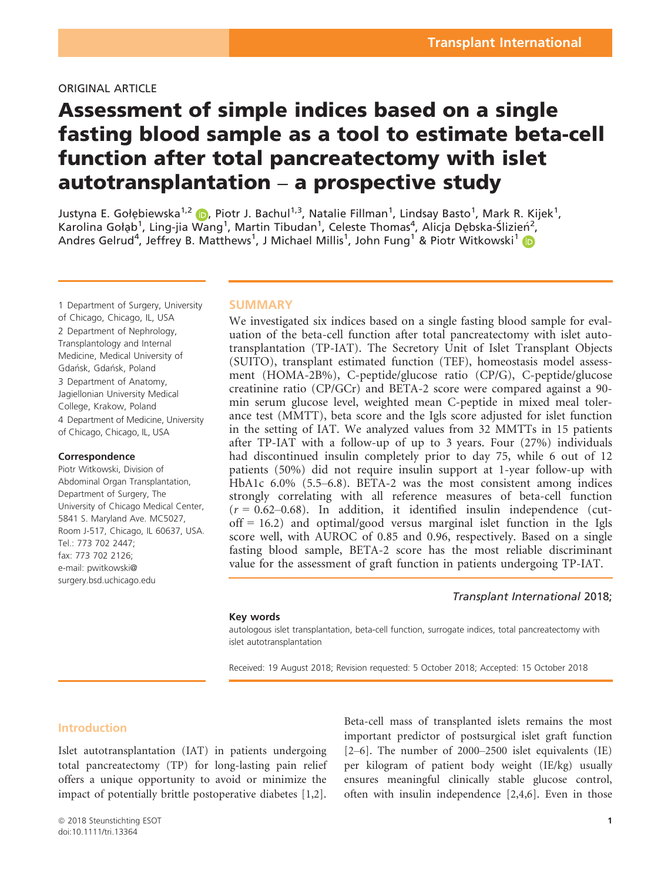## ORIGINAL ARTICLE

# Assessment of simple indices based on a single fasting blood sample as a tool to estimate beta-cell function after total pancreatectomy with islet autotransplantation – a prospective study

Justyna E. Gołębiewska<sup>1,2</sup> (D. Piotr J. Bachul<sup>1,3</sup>, Natalie Fillman<sup>1</sup>, Lindsay Basto<sup>1</sup>, Mark R. Kijek<sup>1</sup>, Karolina Gołąb<sup>1</sup>, Ling-jia Wang<sup>1</sup>, Martin Tibudan<sup>1</sup>, Celeste Thomas<sup>4</sup>, Alicja Dębska-Ślizień<sup>2</sup>, Andres Gelrud<sup>4</sup>, Jeffrey B. Matthews<sup>1</sup>, J Michael Millis<sup>1</sup>, John Fung<sup>1</sup> & Piotr Witkowski<sup>1</sup>

1 Department of Surgery, University of Chicago, Chicago, IL, USA 2 Department of Nephrology, Transplantology and Internal Medicine, Medical University of Gdańsk, Gdańsk, Poland 3 Department of Anatomy, Jagiellonian University Medical College, Krakow, Poland 4 Department of Medicine, University of Chicago, Chicago, IL, USA

#### Correspondence

Piotr Witkowski, Division of Abdominal Organ Transplantation, Department of Surgery, The University of Chicago Medical Center, 5841 S. Maryland Ave. MC5027, Room J-517, Chicago, IL 60637, USA. Tel.: 773 702 2447; fax: 773 702 2126; e-mail: [pwitkowski@](mailto:) [surgery.bsd.uchicago.edu](mailto:)

#### **SUMMARY**

We investigated six indices based on a single fasting blood sample for evaluation of the beta-cell function after total pancreatectomy with islet autotransplantation (TP-IAT). The Secretory Unit of Islet Transplant Objects (SUITO), transplant estimated function (TEF), homeostasis model assessment (HOMA-2B%), C-peptide/glucose ratio (CP/G), C-peptide/glucose creatinine ratio (CP/GCr) and BETA-2 score were compared against a 90 min serum glucose level, weighted mean C-peptide in mixed meal tolerance test (MMTT), beta score and the Igls score adjusted for islet function in the setting of IAT. We analyzed values from 32 MMTTs in 15 patients after TP-IAT with a follow-up of up to 3 years. Four (27%) individuals had discontinued insulin completely prior to day 75, while 6 out of 12 patients (50%) did not require insulin support at 1-year follow-up with HbA1c 6.0% (5.5–6.8). BETA-2 was the most consistent among indices strongly correlating with all reference measures of beta-cell function  $(r = 0.62 - 0.68)$ . In addition, it identified insulin independence (cut $off = 16.2$ ) and optimal/good versus marginal islet function in the Igls score well, with AUROC of 0.85 and 0.96, respectively. Based on a single fasting blood sample, BETA-2 score has the most reliable discriminant value for the assessment of graft function in patients undergoing TP-IAT.

#### Transplant International 2018;

#### Key words

autologous islet transplantation, beta-cell function, surrogate indices, total pancreatectomy with islet autotransplantation

Received: 19 August 2018; Revision requested: 5 October 2018; Accepted: 15 October 2018

## Introduction

Islet autotransplantation (IAT) in patients undergoing total pancreatectomy (TP) for long-lasting pain relief offers a unique opportunity to avoid or minimize the impact of potentially brittle postoperative diabetes [1,2]. Beta-cell mass of transplanted islets remains the most important predictor of postsurgical islet graft function [2–6]. The number of 2000–2500 islet equivalents (IE) per kilogram of patient body weight (IE/kg) usually ensures meaningful clinically stable glucose control, often with insulin independence [2,4,6]. Even in those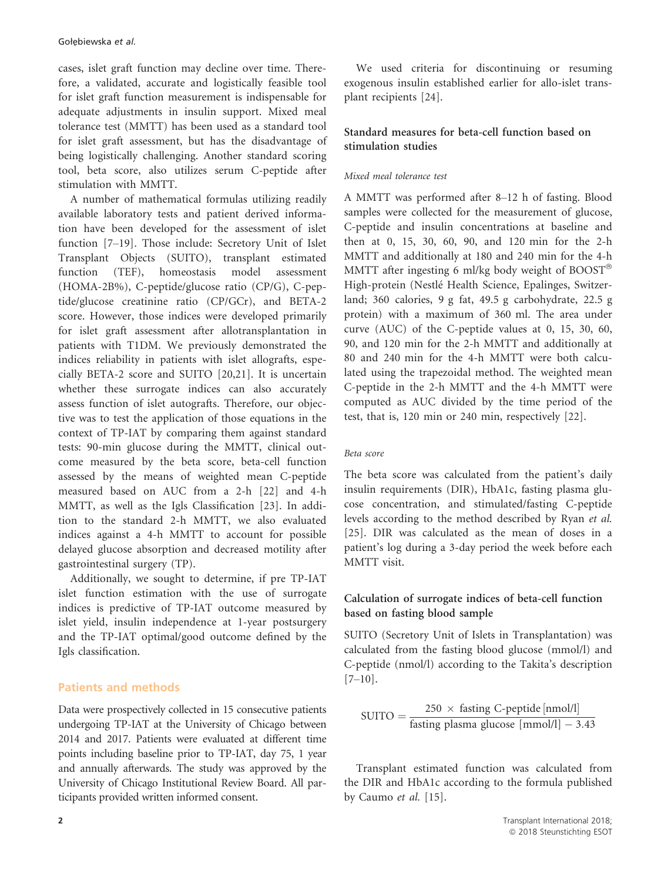cases, islet graft function may decline over time. Therefore, a validated, accurate and logistically feasible tool for islet graft function measurement is indispensable for adequate adjustments in insulin support. Mixed meal tolerance test (MMTT) has been used as a standard tool for islet graft assessment, but has the disadvantage of being logistically challenging. Another standard scoring tool, beta score, also utilizes serum C-peptide after stimulation with MMTT.

A number of mathematical formulas utilizing readily available laboratory tests and patient derived information have been developed for the assessment of islet function [7–19]. Those include: Secretory Unit of Islet Transplant Objects (SUITO), transplant estimated function (TEF), homeostasis model assessment (HOMA-2B%), C-peptide/glucose ratio (CP/G), C-peptide/glucose creatinine ratio (CP/GCr), and BETA-2 score. However, those indices were developed primarily for islet graft assessment after allotransplantation in patients with T1DM. We previously demonstrated the indices reliability in patients with islet allografts, especially BETA-2 score and SUITO [20,21]. It is uncertain whether these surrogate indices can also accurately assess function of islet autografts. Therefore, our objective was to test the application of those equations in the context of TP-IAT by comparing them against standard tests: 90-min glucose during the MMTT, clinical outcome measured by the beta score, beta-cell function assessed by the means of weighted mean C-peptide measured based on AUC from a 2-h [22] and 4-h MMTT, as well as the Igls Classification [23]. In addition to the standard 2-h MMTT, we also evaluated indices against a 4-h MMTT to account for possible delayed glucose absorption and decreased motility after gastrointestinal surgery (TP).

Additionally, we sought to determine, if pre TP-IAT islet function estimation with the use of surrogate indices is predictive of TP-IAT outcome measured by islet yield, insulin independence at 1-year postsurgery and the TP-IAT optimal/good outcome defined by the Igls classification.

#### Patients and methods

Data were prospectively collected in 15 consecutive patients undergoing TP-IAT at the University of Chicago between 2014 and 2017. Patients were evaluated at different time points including baseline prior to TP-IAT, day 75, 1 year and annually afterwards. The study was approved by the University of Chicago Institutional Review Board. All participants provided written informed consent.

We used criteria for discontinuing or resuming exogenous insulin established earlier for allo-islet transplant recipients [24].

## Standard measures for beta-cell function based on stimulation studies

## Mixed meal tolerance test

A MMTT was performed after 8–12 h of fasting. Blood samples were collected for the measurement of glucose, C-peptide and insulin concentrations at baseline and then at 0, 15, 30, 60, 90, and 120 min for the 2-h MMTT and additionally at 180 and 240 min for the 4-h MMTT after ingesting 6 ml/kg body weight of BOOST® High-protein (Nestle Health Science, Epalinges, Switzerland; 360 calories, 9 g fat, 49.5 g carbohydrate, 22.5 g protein) with a maximum of 360 ml. The area under curve (AUC) of the C-peptide values at 0, 15, 30, 60, 90, and 120 min for the 2-h MMTT and additionally at 80 and 240 min for the 4-h MMTT were both calculated using the trapezoidal method. The weighted mean C-peptide in the 2-h MMTT and the 4-h MMTT were computed as AUC divided by the time period of the test, that is, 120 min or 240 min, respectively [22].

#### Beta score

The beta score was calculated from the patient's daily insulin requirements (DIR), HbA1c, fasting plasma glucose concentration, and stimulated/fasting C-peptide levels according to the method described by Ryan et al. [25]. DIR was calculated as the mean of doses in a patient's log during a 3-day period the week before each MMTT visit.

## Calculation of surrogate indices of beta-cell function based on fasting blood sample

SUITO (Secretory Unit of Islets in Transplantation) was calculated from the fasting blood glucose (mmol/l) and C-peptide (nmol/l) according to the Takita's description  $[7-10]$ .

$$
SUITO = \frac{250 \times \text{fasting C-peptide [nmol/l]}}{\text{fasting plasma glucose [mmol/l]} - 3.43}
$$

Transplant estimated function was calculated from the DIR and HbA1c according to the formula published by Caumo et al. [15].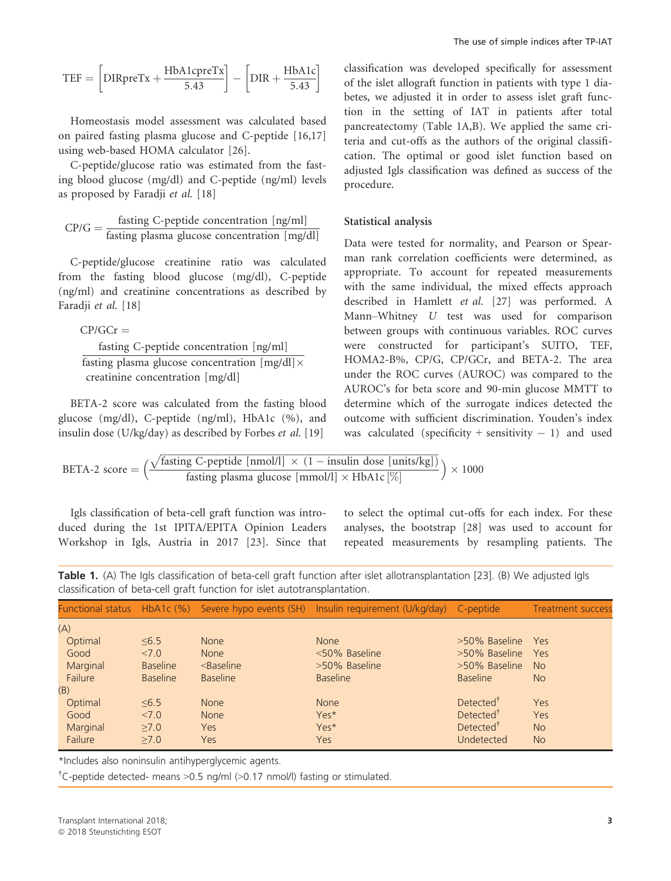$$
TEF = \left[ DIRpreTx + \frac{HbA1cpreTx}{5.43} \right] - \left[ DIR + \frac{HbA1c}{5.43} \right]
$$

Homeostasis model assessment was calculated based on paired fasting plasma glucose and C-peptide [16,17] using web-based HOMA calculator [26].

C-peptide/glucose ratio was estimated from the fasting blood glucose (mg/dl) and C-peptide (ng/ml) levels as proposed by Faradji et al. [18]

$$
CP/G = \frac{\text{fasting C-peptide concentration [ng/ml]}}{\text{fasting plasma glucose concentration [mg/dl]}}
$$

C-peptide/glucose creatinine ratio was calculated from the fasting blood glucose (mg/dl), C-peptide (ng/ml) and creatinine concentrations as described by Faradji et al. [18]

```
CP/GCr =
```
fasting C-peptide concentration [ng/ml] fasting plasma glucose concentration  $[\mathrm{mg/dl}]\times$ creatinine concentration [mg/dl]

BETA-2 score was calculated from the fasting blood glucose (mg/dl), C-peptide (ng/ml), HbA1c (%), and insulin dose (U/kg/day) as described by Forbes et al. [19]

classification was developed specifically for assessment of the islet allograft function in patients with type 1 diabetes, we adjusted it in order to assess islet graft function in the setting of IAT in patients after total pancreatectomy (Table 1A,B). We applied the same criteria and cut-offs as the authors of the original classification. The optimal or good islet function based on adjusted Igls classification was defined as success of the procedure.

## Statistical analysis

Data were tested for normality, and Pearson or Spearman rank correlation coefficients were determined, as appropriate. To account for repeated measurements with the same individual, the mixed effects approach described in Hamlett et al. [27] was performed. A Mann–Whitney U test was used for comparison between groups with continuous variables. ROC curves were constructed for participant's SUITO, TEF, HOMA2-B%, CP/G, CP/GCr, and BETA-2. The area under the ROC curves (AUROC) was compared to the AUROC's for beta score and 90-min glucose MMTT to determine which of the surrogate indices detected the outcome with sufficient discrimination. Youden's index was calculated (specificity + sensitivity  $-1$ ) and used

BETA-2 score = 
$$
\left(\frac{\sqrt{\text{fasting C-peptide [nmol/l]} \times (1 - \text{insulin dose [units/kg]})}}{\text{fasting plasma glucose [mmol/l]} \times \text{HbA1c}[\%]}\right) \times 1000
$$

Igls classification of beta-cell graft function was introduced during the 1st IPITA/EPITA Opinion Leaders Workshop in Igls, Austria in 2017 [23]. Since that

to select the optimal cut-offs for each index. For these analyses, the bootstrap [28] was used to account for repeated measurements by resampling patients. The

Table 1. (A) The Igls classification of beta-cell graft function after islet allotransplantation [23]. (B) We adjusted Igls classification of beta-cell graft function for islet autotransplantation.

|                  |                 |                 | Functional status HbA1c (%) Severe hypo events (SH) Insulin requirement (U/kg/day) C-peptide |                       | <b>Treatment success</b> |
|------------------|-----------------|-----------------|----------------------------------------------------------------------------------------------|-----------------------|--------------------------|
| (A)              |                 |                 |                                                                                              |                       |                          |
| Optimal<br>< 6.5 |                 | <b>None</b>     | <b>None</b>                                                                                  | >50% Baseline         | Yes                      |
| Good             | < 7.0           | <b>None</b>     | <50% Baseline                                                                                | >50% Baseline         | Yes                      |
| Marginal         | <b>Baseline</b> | $<$ Baseline    | >50% Baseline                                                                                | >50% Baseline         | <b>No</b>                |
| <b>Failure</b>   | <b>Baseline</b> | <b>Baseline</b> | <b>Baseline</b>                                                                              | <b>Baseline</b>       | <b>No</b>                |
| (B)              |                 |                 |                                                                                              |                       |                          |
| Optimal<br>< 6.5 |                 | <b>None</b>     | <b>None</b>                                                                                  | Detected <sup>†</sup> | Yes                      |
| Good<br>27.0     |                 | <b>None</b>     | Yes*                                                                                         | Detected <sup>†</sup> | Yes                      |
| Marginal<br>>7.0 |                 | <b>Yes</b>      | Yes*                                                                                         | Detected <sup>†</sup> | <b>No</b>                |
| Failure<br>>7.0  |                 | Yes             | Yes                                                                                          | Undetected            | <b>No</b>                |
|                  |                 |                 |                                                                                              |                       |                          |

\*Includes also noninsulin antihyperglycemic agents.

† C-peptide detected- means >0.5 ng/ml (>0.17 nmol/l) fasting or stimulated.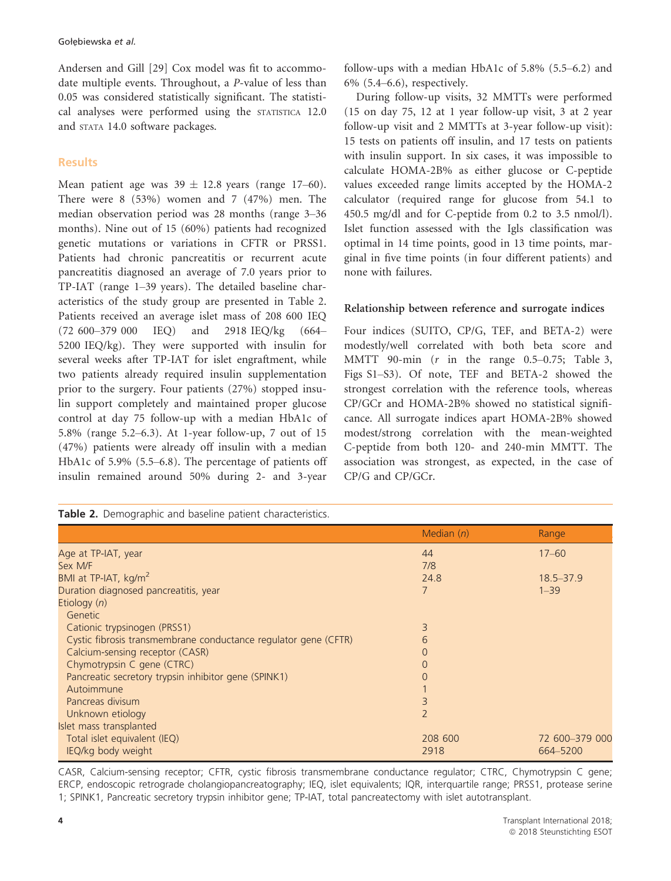Andersen and Gill [29] Cox model was fit to accommodate multiple events. Throughout, a P-value of less than 0.05 was considered statistically significant. The statistical analyses were performed using the STATISTICA 12.0 and STATA 14.0 software packages.

## **Results**

Mean patient age was  $39 \pm 12.8$  years (range 17–60). There were 8 (53%) women and 7 (47%) men. The median observation period was 28 months (range 3–36 months). Nine out of 15 (60%) patients had recognized genetic mutations or variations in CFTR or PRSS1. Patients had chronic pancreatitis or recurrent acute pancreatitis diagnosed an average of 7.0 years prior to TP-IAT (range 1–39 years). The detailed baseline characteristics of the study group are presented in Table 2. Patients received an average islet mass of 208 600 IEQ (72 600–379 000 IEQ) and 2918 IEQ/kg (664– 5200 IEQ/kg). They were supported with insulin for several weeks after TP-IAT for islet engraftment, while two patients already required insulin supplementation prior to the surgery. Four patients (27%) stopped insulin support completely and maintained proper glucose control at day 75 follow-up with a median HbA1c of 5.8% (range 5.2–6.3). At 1-year follow-up, 7 out of 15 (47%) patients were already off insulin with a median HbA1c of 5.9% (5.5–6.8). The percentage of patients off insulin remained around 50% during 2- and 3-year

|  |  |  |  |  | Table 2. Demographic and baseline patient characteristics. |
|--|--|--|--|--|------------------------------------------------------------|
|--|--|--|--|--|------------------------------------------------------------|

follow-ups with a median HbA1c of 5.8% (5.5–6.2) and 6% (5.4–6.6), respectively.

During follow-up visits, 32 MMTTs were performed (15 on day 75, 12 at 1 year follow-up visit, 3 at 2 year follow-up visit and 2 MMTTs at 3-year follow-up visit): 15 tests on patients off insulin, and 17 tests on patients with insulin support. In six cases, it was impossible to calculate HOMA-2B% as either glucose or C-peptide values exceeded range limits accepted by the HOMA-2 calculator (required range for glucose from 54.1 to 450.5 mg/dl and for C-peptide from 0.2 to 3.5 nmol/l). Islet function assessed with the Igls classification was optimal in 14 time points, good in 13 time points, marginal in five time points (in four different patients) and none with failures.

#### Relationship between reference and surrogate indices

Four indices (SUITO, CP/G, TEF, and BETA-2) were modestly/well correlated with both beta score and MMTT 90-min (r in the range 0.5–0.75; Table 3, Figs S1–S3). Of note, TEF and BETA-2 showed the strongest correlation with the reference tools, whereas CP/GCr and HOMA-2B% showed no statistical significance. All surrogate indices apart HOMA-2B% showed modest/strong correlation with the mean-weighted C-peptide from both 120- and 240-min MMTT. The association was strongest, as expected, in the case of CP/G and CP/GCr.

|                                                                 | Median $(n)$   | Range          |
|-----------------------------------------------------------------|----------------|----------------|
| Age at TP-IAT, year                                             | 44             | $17 - 60$      |
| Sex M/F                                                         | 7/8            |                |
| BMI at TP-IAT, kg/m <sup>2</sup>                                | 24.8           | $18.5 - 37.9$  |
| Duration diagnosed pancreatitis, year                           | $\overline{7}$ | $1 - 39$       |
| Etiology $(n)$                                                  |                |                |
| Genetic                                                         |                |                |
| Cationic trypsinogen (PRSS1)                                    | 3              |                |
| Cystic fibrosis transmembrane conductance regulator gene (CFTR) | 6              |                |
| Calcium-sensing receptor (CASR)                                 | $\bigcap$      |                |
| Chymotrypsin C gene (CTRC)                                      | $\Omega$       |                |
| Pancreatic secretory trypsin inhibitor gene (SPINK1)            | $\Omega$       |                |
| Autoimmune                                                      |                |                |
| Pancreas divisum                                                | 3              |                |
| Unknown etiology                                                | $\overline{2}$ |                |
| Islet mass transplanted                                         |                |                |
| Total islet equivalent (IEQ)                                    | 208 600        | 72 600-379 000 |
| IEQ/kg body weight                                              | 2918           | 664-5200       |

CASR, Calcium-sensing receptor; CFTR, cystic fibrosis transmembrane conductance regulator; CTRC, Chymotrypsin C gene; ERCP, endoscopic retrograde cholangiopancreatography; IEQ, islet equivalents; IQR, interquartile range; PRSS1, protease serine 1; SPINK1, Pancreatic secretory trypsin inhibitor gene; TP-IAT, total pancreatectomy with islet autotransplant.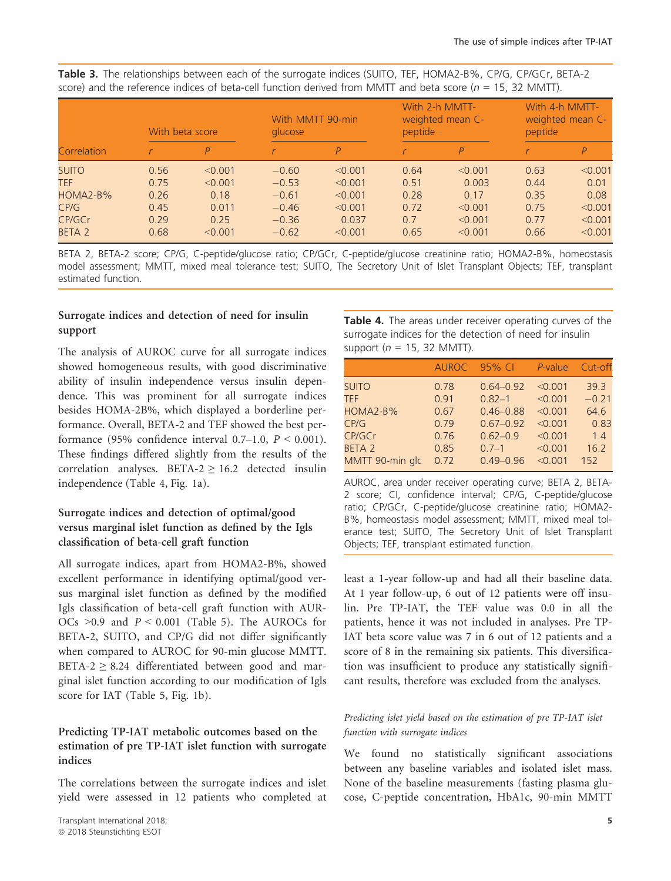Table 3. The relationships between each of the surrogate indices (SUITO, TEF, HOMA2-B%, CP/G, CP/GCr, BETA-2 score) and the reference indices of beta-cell function derived from MMTT and beta score ( $n = 15$ , 32 MMTT).

|                                                                    | With beta score                              |                                                        | glucose                                                        | With MMTT 90-min                                             |                                             | With 2-h MMTT-<br>weighted mean C-<br>peptide             |                                              | With 4-h MMTT-<br>weighted mean C-<br>peptide            |  |
|--------------------------------------------------------------------|----------------------------------------------|--------------------------------------------------------|----------------------------------------------------------------|--------------------------------------------------------------|---------------------------------------------|-----------------------------------------------------------|----------------------------------------------|----------------------------------------------------------|--|
| Correlation                                                        |                                              | $\overline{P}$                                         |                                                                | P                                                            |                                             | $\overline{P}$                                            |                                              | P                                                        |  |
| <b>SUITO</b><br><b>TEF</b><br>HOMA2-B%<br>CP/G<br>CP/GCr<br>BETA 2 | 0.56<br>0.75<br>0.26<br>0.45<br>0.29<br>0.68 | < 0.001<br>< 0.001<br>0.18<br>0.011<br>0.25<br>< 0.001 | $-0.60$<br>$-0.53$<br>$-0.61$<br>$-0.46$<br>$-0.36$<br>$-0.62$ | < 0.001<br>< 0.001<br>< 0.001<br>< 0.001<br>0.037<br>< 0.001 | 0.64<br>0.51<br>0.28<br>0.72<br>0.7<br>0.65 | < 0.001<br>0.003<br>0.17<br>< 0.001<br>< 0.001<br>< 0.001 | 0.63<br>0.44<br>0.35<br>0.75<br>0.77<br>0.66 | < 0.001<br>0.01<br>0.08<br>< 0.001<br>< 0.001<br>< 0.001 |  |

BETA 2, BETA-2 score; CP/G, C-peptide/glucose ratio; CP/GCr, C-peptide/glucose creatinine ratio; HOMA2-B%, homeostasis model assessment; MMTT, mixed meal tolerance test; SUITO, The Secretory Unit of Islet Transplant Objects; TEF, transplant estimated function.

## Surrogate indices and detection of need for insulin support

The analysis of AUROC curve for all surrogate indices showed homogeneous results, with good discriminative ability of insulin independence versus insulin dependence. This was prominent for all surrogate indices besides HOMA-2B%, which displayed a borderline performance. Overall, BETA-2 and TEF showed the best performance (95% confidence interval 0.7–1.0,  $P < 0.001$ ). These findings differed slightly from the results of the correlation analyses. BETA-2  $\geq$  16.2 detected insulin independence (Table 4, Fig. 1a).

# Surrogate indices and detection of optimal/good versus marginal islet function as defined by the Igls classification of beta-cell graft function

All surrogate indices, apart from HOMA2-B%, showed excellent performance in identifying optimal/good versus marginal islet function as defined by the modified Igls classification of beta-cell graft function with AUR-OCs  $>0.9$  and  $P < 0.001$  (Table 5). The AUROCs for BETA-2, SUITO, and CP/G did not differ significantly when compared to AUROC for 90-min glucose MMTT. BETA-2  $\geq$  8.24 differentiated between good and marginal islet function according to our modification of Igls score for IAT (Table 5, Fig. 1b).

# Predicting TP-IAT metabolic outcomes based on the estimation of pre TP-IAT islet function with surrogate indices

The correlations between the surrogate indices and islet yield were assessed in 12 patients who completed at Table 4. The areas under receiver operating curves of the surrogate indices for the detection of need for insulin support ( $n = 15$ , 32 MMTT).

|                   | <b>AUROC</b> | 95% CI        | P-value | Cut-off |
|-------------------|--------------|---------------|---------|---------|
| <b>SUITO</b>      | 0.78         | $0.64 - 0.92$ | < 0.001 | 39.3    |
| <b>TEF</b>        | 0.91         | $0.82 - 1$    | < 0.001 | $-0.21$ |
| HOMA2-B%          | 0.67         | $0.46 - 0.88$ | < 0.001 | 64.6    |
| CP/G              | 0.79         | $0.67 - 0.92$ | < 0.001 | 0.83    |
| CP/GCr            | 0.76         | $0.62 - 0.9$  | < 0.001 | 1.4     |
| BETA <sub>2</sub> | 0.85         | $0.7 - 1$     | < 0.001 | 16.2    |
| MMTT 90-min glc   | 0.72         | $0.49 - 0.96$ | < 0.001 | 152     |
|                   |              |               |         |         |

AUROC, area under receiver operating curve; BETA 2, BETA-2 score; CI, confidence interval; CP/G, C-peptide/glucose ratio; CP/GCr, C-peptide/glucose creatinine ratio; HOMA2- B%, homeostasis model assessment; MMTT, mixed meal tolerance test; SUITO, The Secretory Unit of Islet Transplant Objects; TEF, transplant estimated function.

least a 1-year follow-up and had all their baseline data. At 1 year follow-up, 6 out of 12 patients were off insulin. Pre TP-IAT, the TEF value was 0.0 in all the patients, hence it was not included in analyses. Pre TP-IAT beta score value was 7 in 6 out of 12 patients and a score of 8 in the remaining six patients. This diversification was insufficient to produce any statistically significant results, therefore was excluded from the analyses.

## Predicting islet yield based on the estimation of pre TP-IAT islet function with surrogate indices

We found no statistically significant associations between any baseline variables and isolated islet mass. None of the baseline measurements (fasting plasma glucose, C-peptide concentration, HbA1c, 90-min MMTT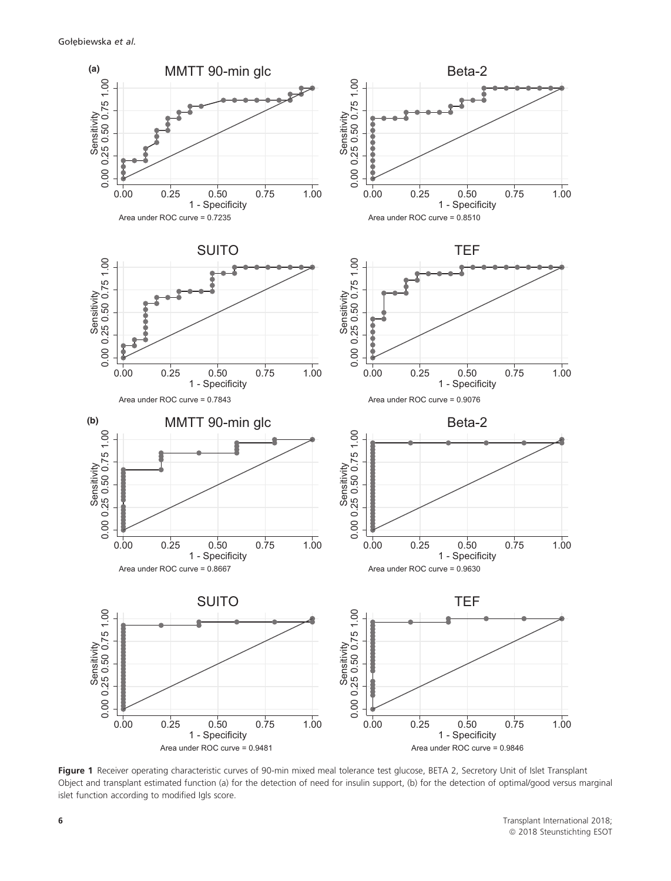

Figure 1 Receiver operating characteristic curves of 90-min mixed meal tolerance test glucose, BETA 2, Secretory Unit of Islet Transplant Object and transplant estimated function (a) for the detection of need for insulin support, (b) for the detection of optimal/good versus marginal islet function according to modified Igls score.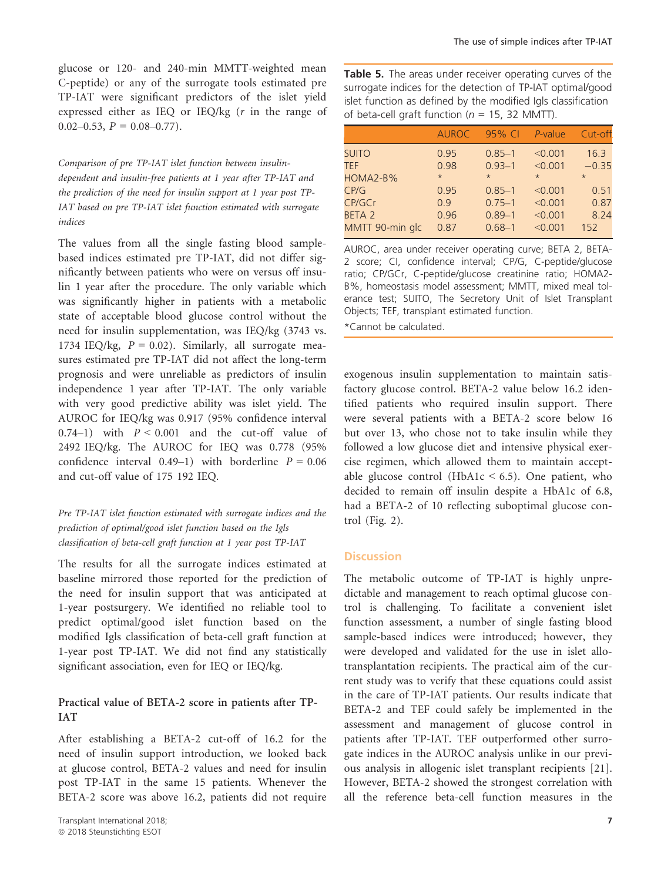glucose or 120- and 240-min MMTT-weighted mean C-peptide) or any of the surrogate tools estimated pre TP-IAT were significant predictors of the islet yield expressed either as IEQ or IEQ/kg  $(r$  in the range of 0.02–0.53,  $P = 0.08$ –0.77).

Comparison of pre TP-IAT islet function between insulindependent and insulin-free patients at 1 year after TP-IAT and the prediction of the need for insulin support at 1 year post TP-IAT based on pre TP-IAT islet function estimated with surrogate indices

The values from all the single fasting blood samplebased indices estimated pre TP-IAT, did not differ significantly between patients who were on versus off insulin 1 year after the procedure. The only variable which was significantly higher in patients with a metabolic state of acceptable blood glucose control without the need for insulin supplementation, was IEQ/kg (3743 vs. 1734 IEQ/kg,  $P = 0.02$ ). Similarly, all surrogate measures estimated pre TP-IAT did not affect the long-term prognosis and were unreliable as predictors of insulin independence 1 year after TP-IAT. The only variable with very good predictive ability was islet yield. The AUROC for IEQ/kg was 0.917 (95% confidence interval  $(0.74-1)$  with  $P < 0.001$  and the cut-off value of 2492 IEQ/kg. The AUROC for IEQ was 0.778 (95% confidence interval  $0.49-1$ ) with borderline  $P = 0.06$ and cut-off value of 175 192 IEQ.

## Pre TP-IAT islet function estimated with surrogate indices and the prediction of optimal/good islet function based on the Igls classification of beta-cell graft function at 1 year post TP-IAT

The results for all the surrogate indices estimated at baseline mirrored those reported for the prediction of the need for insulin support that was anticipated at 1-year postsurgery. We identified no reliable tool to predict optimal/good islet function based on the modified Igls classification of beta-cell graft function at 1-year post TP-IAT. We did not find any statistically significant association, even for IEQ or IEQ/kg.

## Practical value of BETA-2 score in patients after TP-IAT

After establishing a BETA-2 cut-off of 16.2 for the need of insulin support introduction, we looked back at glucose control, BETA-2 values and need for insulin post TP-IAT in the same 15 patients. Whenever the BETA-2 score was above 16.2, patients did not require Table 5. The areas under receiver operating curves of the surrogate indices for the detection of TP-IAT optimal/good islet function as defined by the modified Igls classification of beta-cell graft function ( $n = 15$ , 32 MMTT).

|                 | <b>AUROC</b> | 95% CI     | P-value | Cut-off |
|-----------------|--------------|------------|---------|---------|
| <b>SUITO</b>    | 0.95         | $0.85 - 1$ | < 0.001 | 16.3    |
| <b>TFF</b>      | 0.98         | $0.93 - 1$ | < 0.001 | $-0.35$ |
| HOMA2-B%        | $\star$      | $\star$    | $\star$ | $\star$ |
| CP/G            | 0.95         | $0.85 - 1$ | < 0.001 | 0.51    |
| CP/GCr          | 09           | $0.75 - 1$ | < 0.001 | 0.87    |
| <b>BETA 2</b>   | 0.96         | $0.89 - 1$ | < 0.001 | 8.24    |
| MMTT 90-min glc | 0.87         | $0.68 - 1$ | < 0.001 | 152     |

AUROC, area under receiver operating curve; BETA 2, BETA-2 score; CI, confidence interval; CP/G, C-peptide/glucose ratio; CP/GCr, C-peptide/glucose creatinine ratio; HOMA2- B%, homeostasis model assessment; MMTT, mixed meal tolerance test; SUITO, The Secretory Unit of Islet Transplant Objects; TEF, transplant estimated function. \*Cannot be calculated.

exogenous insulin supplementation to maintain satisfactory glucose control. BETA-2 value below 16.2 identified patients who required insulin support. There were several patients with a BETA-2 score below 16 but over 13, who chose not to take insulin while they followed a low glucose diet and intensive physical exercise regimen, which allowed them to maintain acceptable glucose control (HbA1c  $\leq$  6.5). One patient, who decided to remain off insulin despite a HbA1c of 6.8, had a BETA-2 of 10 reflecting suboptimal glucose control (Fig. 2).

## **Discussion**

The metabolic outcome of TP-IAT is highly unpredictable and management to reach optimal glucose control is challenging. To facilitate a convenient islet function assessment, a number of single fasting blood sample-based indices were introduced; however, they were developed and validated for the use in islet allotransplantation recipients. The practical aim of the current study was to verify that these equations could assist in the care of TP-IAT patients. Our results indicate that BETA-2 and TEF could safely be implemented in the assessment and management of glucose control in patients after TP-IAT. TEF outperformed other surrogate indices in the AUROC analysis unlike in our previous analysis in allogenic islet transplant recipients [21]. However, BETA-2 showed the strongest correlation with all the reference beta-cell function measures in the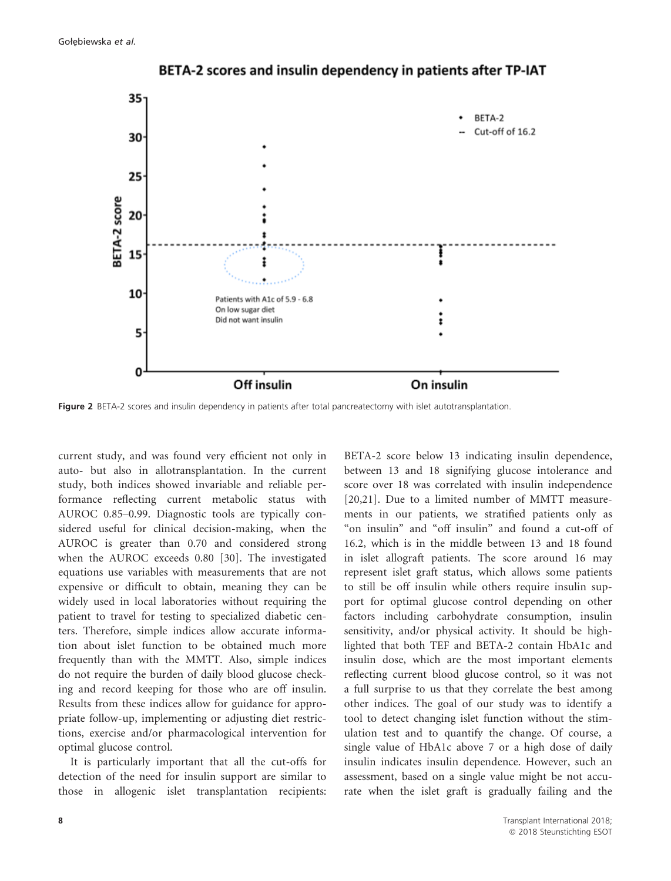

BETA-2 scores and insulin dependency in patients after TP-IAT

Figure 2 BETA-2 scores and insulin dependency in patients after total pancreatectomy with islet autotransplantation.

current study, and was found very efficient not only in auto- but also in allotransplantation. In the current study, both indices showed invariable and reliable performance reflecting current metabolic status with AUROC 0.85–0.99. Diagnostic tools are typically considered useful for clinical decision-making, when the AUROC is greater than 0.70 and considered strong when the AUROC exceeds 0.80 [30]. The investigated equations use variables with measurements that are not expensive or difficult to obtain, meaning they can be widely used in local laboratories without requiring the patient to travel for testing to specialized diabetic centers. Therefore, simple indices allow accurate information about islet function to be obtained much more frequently than with the MMTT. Also, simple indices do not require the burden of daily blood glucose checking and record keeping for those who are off insulin. Results from these indices allow for guidance for appropriate follow-up, implementing or adjusting diet restrictions, exercise and/or pharmacological intervention for optimal glucose control.

It is particularly important that all the cut-offs for detection of the need for insulin support are similar to those in allogenic islet transplantation recipients:

BETA-2 score below 13 indicating insulin dependence, between 13 and 18 signifying glucose intolerance and score over 18 was correlated with insulin independence [20,21]. Due to a limited number of MMTT measurements in our patients, we stratified patients only as "on insulin" and "off insulin" and found a cut-off of 16.2, which is in the middle between 13 and 18 found in islet allograft patients. The score around 16 may represent islet graft status, which allows some patients to still be off insulin while others require insulin support for optimal glucose control depending on other factors including carbohydrate consumption, insulin sensitivity, and/or physical activity. It should be highlighted that both TEF and BETA-2 contain HbA1c and insulin dose, which are the most important elements reflecting current blood glucose control, so it was not a full surprise to us that they correlate the best among other indices. The goal of our study was to identify a tool to detect changing islet function without the stimulation test and to quantify the change. Of course, a single value of HbA1c above 7 or a high dose of daily insulin indicates insulin dependence. However, such an assessment, based on a single value might be not accurate when the islet graft is gradually failing and the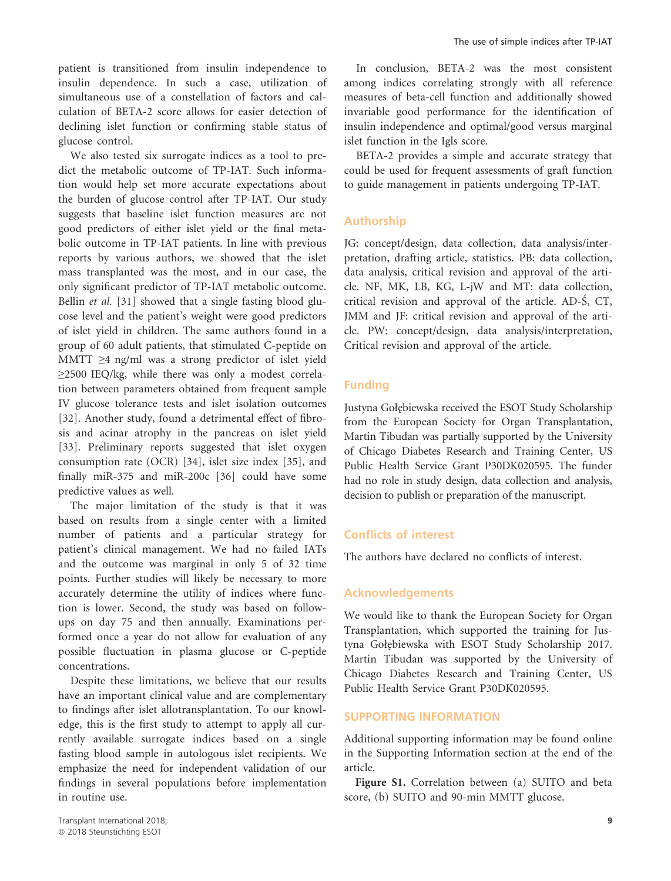patient is transitioned from insulin independence to insulin dependence. In such a case, utilization of simultaneous use of a constellation of factors and calculation of BETA-2 score allows for easier detection of declining islet function or confirming stable status of glucose control.

We also tested six surrogate indices as a tool to predict the metabolic outcome of TP-IAT. Such information would help set more accurate expectations about the burden of glucose control after TP-IAT. Our study suggests that baseline islet function measures are not good predictors of either islet yield or the final metabolic outcome in TP-IAT patients. In line with previous reports by various authors, we showed that the islet mass transplanted was the most, and in our case, the only significant predictor of TP-IAT metabolic outcome. Bellin *et al.* [31] showed that a single fasting blood glucose level and the patient's weight were good predictors of islet yield in children. The same authors found in a group of 60 adult patients, that stimulated C-peptide on MMTT ≥4 ng/ml was a strong predictor of islet yield ≥2500 IEQ/kg, while there was only a modest correlation between parameters obtained from frequent sample IV glucose tolerance tests and islet isolation outcomes [32]. Another study, found a detrimental effect of fibrosis and acinar atrophy in the pancreas on islet yield [33]. Preliminary reports suggested that islet oxygen consumption rate (OCR) [34], islet size index [35], and finally miR-375 and miR-200c [36] could have some predictive values as well.

The major limitation of the study is that it was based on results from a single center with a limited number of patients and a particular strategy for patient's clinical management. We had no failed IATs and the outcome was marginal in only 5 of 32 time points. Further studies will likely be necessary to more accurately determine the utility of indices where function is lower. Second, the study was based on followups on day 75 and then annually. Examinations performed once a year do not allow for evaluation of any possible fluctuation in plasma glucose or C-peptide concentrations.

Despite these limitations, we believe that our results have an important clinical value and are complementary to findings after islet allotransplantation. To our knowledge, this is the first study to attempt to apply all currently available surrogate indices based on a single fasting blood sample in autologous islet recipients. We emphasize the need for independent validation of our findings in several populations before implementation in routine use.

In conclusion, BETA-2 was the most consistent among indices correlating strongly with all reference measures of beta-cell function and additionally showed invariable good performance for the identification of insulin independence and optimal/good versus marginal islet function in the Igls score.

BETA-2 provides a simple and accurate strategy that could be used for frequent assessments of graft function to guide management in patients undergoing TP-IAT.

## Authorship

JG: concept/design, data collection, data analysis/interpretation, drafting article, statistics. PB: data collection, data analysis, critical revision and approval of the article. NF, MK, LB, KG, L-jW and MT: data collection, critical revision and approval of the article. AD-S, CT, JMM and JF: critical revision and approval of the article. PW: concept/design, data analysis/interpretation, Critical revision and approval of the article.

## Funding

Justyna Gołębiewska received the ESOT Study Scholarship from the European Society for Organ Transplantation, Martin Tibudan was partially supported by the University of Chicago Diabetes Research and Training Center, US Public Health Service Grant P30DK020595. The funder had no role in study design, data collection and analysis, decision to publish or preparation of the manuscript.

## Conflicts of interest

The authors have declared no conflicts of interest.

#### Acknowledgements

We would like to thank the European Society for Organ Transplantation, which supported the training for Justyna Gołębiewska with ESOT Study Scholarship 2017. Martin Tibudan was supported by the University of Chicago Diabetes Research and Training Center, US Public Health Service Grant P30DK020595.

## SUPPORTING INFORMATION

Additional supporting information may be found online in the Supporting Information section at the end of the article.

Figure S1. Correlation between (a) SUITO and beta score, (b) SUITO and 90-min MMTT glucose.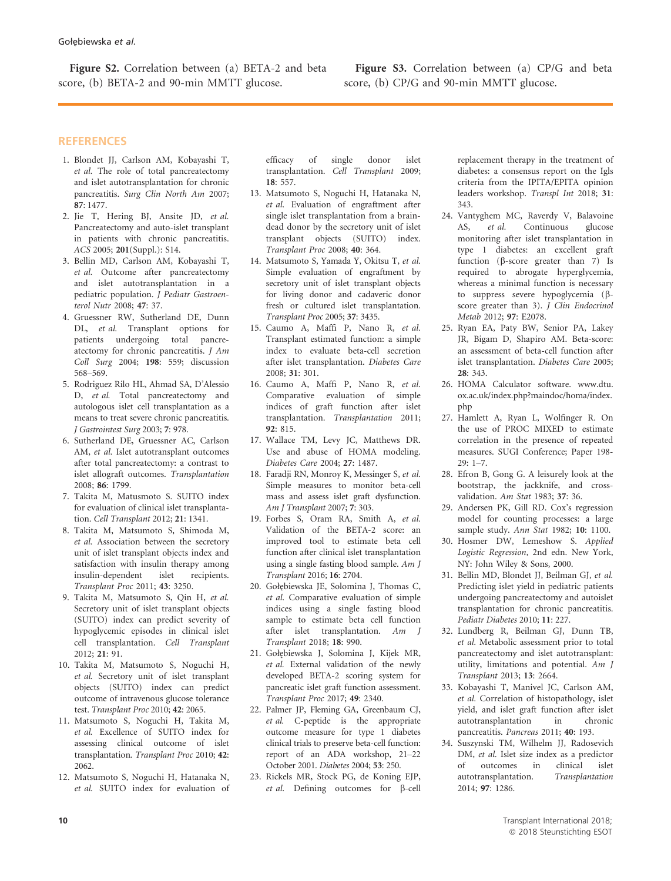Figure S2. Correlation between (a) BETA-2 and beta score, (b) BETA-2 and 90-min MMTT glucose.

Figure S3. Correlation between (a) CP/G and beta score, (b) CP/G and 90-min MMTT glucose.

## **REFERENCES**

- 1. Blondet JJ, Carlson AM, Kobayashi T, et al. The role of total pancreatectomy and islet autotransplantation for chronic pancreatitis. Surg Clin North Am 2007;
- 87: 1477.<br>2. Jie T, Hering BJ, Ansite JD, *et al.* Pancreatectomy and auto-islet transplant in patients with chronic pancreatitis. ACS 2005; 201(Suppl.): S14.
- 3. Bellin MD, Carlson AM, Kobayashi T, et al. Outcome after pancreatectomy and islet autotransplantation in a pediatric population. J Pediatr Gastroen-<br>terol Nutr 2008; 47: 37.
- terol Nutr 2008; 47: 37. 4. Gruessner RW, Sutherland DE, Dunn DL, et al. Transplant options for patients undergoing total pancreatectomy for chronic pancreatitis. J Am Coll Surg 2004; 198: 559; discussion 568–569.
- 5. Rodriguez Rilo HL, Ahmad SA, D'Alessio D, et al. Total pancreatectomy and autologous islet cell transplantation as a means to treat severe chronic pancreatitis. J Gastrointest Surg 2003; 7: 978.
- 6. Sutherland DE, Gruessner AC, Carlson AM, et al. Islet autotransplant outcomes after total pancreatectomy: a contrast to islet allograft outcomes. Transplantation
- 2008; 86: 1799. 7. Takita M, Matusmoto S. SUITO index for evaluation of clinical islet transplantation. Cell Transplant 2012; 21: 1341.
- 8. Takita M, Matsumoto S, Shimoda M, et al. Association between the secretory unit of islet transplant objects index and satisfaction with insulin therapy among insulin-dependent islet recipients. Transplant Proc 2011; 43: 3250.
- 9. Takita M, Matsumoto S, Qin H, et al. Secretory unit of islet transplant objects (SUITO) index can predict severity of hypoglycemic episodes in clinical islet cell transplantation. Cell Transplant 2012; 21: 91.
- 10. Takita M, Matsumoto S, Noguchi H, et al. Secretory unit of islet transplant objects (SUITO) index can predict outcome of intravenous glucose tolerance test. Transplant Proc 2010; 42: 2065.
- 11. Matsumoto S, Noguchi H, Takita M, et al. Excellence of SUITO index for assessing clinical outcome of islet transplantation. Transplant Proc 2010; 42: 2062.
- 12. Matsumoto S, Noguchi H, Hatanaka N, et al. SUITO index for evaluation of

efficacy of single donor islet transplantation. Cell Transplant 2009;

- 18: 557. 13. Matsumoto S, Noguchi H, Hatanaka N, et al. Evaluation of engraftment after single islet transplantation from a braindead donor by the secretory unit of islet transplant objects (SUITO) index. Transplant Proc 2008; 40: 364.
- 14. Matsumoto S, Yamada Y, Okitsu T, et al. Simple evaluation of engraftment by secretory unit of islet transplant objects for living donor and cadaveric donor fresh or cultured islet transplantation. Transplant Proc 2005; 37: 3435.
- 15. Caumo A, Maffi P, Nano R, et al. Transplant estimated function: a simple index to evaluate beta-cell secretion after islet transplantation. Diabetes Care 2008; 31: 301.
- 16. Caumo A, Maffi P, Nano R, et al. Comparative evaluation of simple indices of graft function after islet transplantation. Transplantation 2011; 92: 815.
- 17. Wallace TM, Levy JC, Matthews DR. Use and abuse of HOMA modeling. Diabetes Care 2004; 27: 1487.
- 18. Faradji RN, Monroy K, Messinger S, et al. Simple measures to monitor beta-cell mass and assess islet graft dysfunction. Am J Transplant 2007; 7: 303.
- 19. Forbes S, Oram RA, Smith A, et al. Validation of the BETA-2 score: an improved tool to estimate beta cell function after clinical islet transplantation using a single fasting blood sample. Am J Transplant 2016; 16: 2704.
- 20. Gołębiewska JE, Solomina J, Thomas C, et al. Comparative evaluation of simple indices using a single fasting blood sample to estimate beta cell function after islet transplantation. Am J Transplant 2018; 18: 990.
- 21. Gołębiewska J, Solomina J, Kijek MR, et al. External validation of the newly developed BETA-2 scoring system for pancreatic islet graft function assessment. Transplant Proc 2017; 49: 2340.
- 22. Palmer JP, Fleming GA, Greenbaum CJ, et al. C-peptide is the appropriate outcome measure for type 1 diabetes clinical trials to preserve beta-cell function: report of an ADA workshop, 21–22 October 2001. Diabetes 2004; 53: 250.
- 23. Rickels MR, Stock PG, de Koning EJP, et al. Defining outcomes for  $\beta$ -cell

replacement therapy in the treatment of diabetes: a consensus report on the Igls criteria from the IPITA/EPITA opinion leaders workshop. Transpl Int 2018; 31: 343.

- 24. Vantyghem MC, Raverdy V, Balavoine AS, et al. Continuous glucose monitoring after islet transplantation in type 1 diabetes: an excellent graft function ( $\beta$ -score greater than 7) Is required to abrogate hyperglycemia, whereas a minimal function is necessary to suppress severe hypoglycemia (bscore greater than 3). J Clin Endocrinol Metab 2012; 97: E2078.
- 25. Ryan EA, Paty BW, Senior PA, Lakey JR, Bigam D, Shapiro AM. Beta-score: an assessment of beta-cell function after islet transplantation. Diabetes Care 2005;
- 28: 343. 26. HOMA Calculator software. [www.dtu.](http://www.dtu.ox.ac.uk/index.php?maindoc/homa/index.php) [ox.ac.uk/index.php?maindoc/homa/index.](http://www.dtu.ox.ac.uk/index.php?maindoc/homa/index.php) [php](http://www.dtu.ox.ac.uk/index.php?maindoc/homa/index.php)
- 27. Hamlett A, Ryan L, Wolfinger R. On the use of PROC MIXED to estimate correlation in the presence of repeated measures. SUGI Conference; Paper 198- 29: 1–7.
- 28. Efron B, Gong G. A leisurely look at the bootstrap, the jackknife, and crossvalidation. Am Stat 1983; 37: 36.
- 29. Andersen PK, Gill RD. Cox's regression model for counting processes: a large sample study. Ann Stat 1982; 10: 1100.
- 30. Hosmer DW, Lemeshow S. Applied Logistic Regression, 2nd edn. New York, NY: John Wiley & Sons, 2000.
- 31. Bellin MD, Blondet JJ, Beilman GJ, et al. Predicting islet yield in pediatric patients undergoing pancreatectomy and autoislet transplantation for chronic pancreatitis. Pediatr Diabetes 2010; 11: 227.
- 32. Lundberg R, Beilman GJ, Dunn TB, et al. Metabolic assessment prior to total pancreatectomy and islet autotransplant: utility, limitations and potential. Am J Transplant 2013; 13: 2664.
- 33. Kobayashi T, Manivel JC, Carlson AM, et al. Correlation of histopathology, islet yield, and islet graft function after islet autotransplantation in chronic pancreatitis. Pancreas 2011; 40: 193.
- 34. Suszynski TM, Wilhelm JJ, Radosevich DM, et al. Islet size index as a predictor of outcomes in clinical islet autotransplantation. Transplantation 2014; 97: 1286.